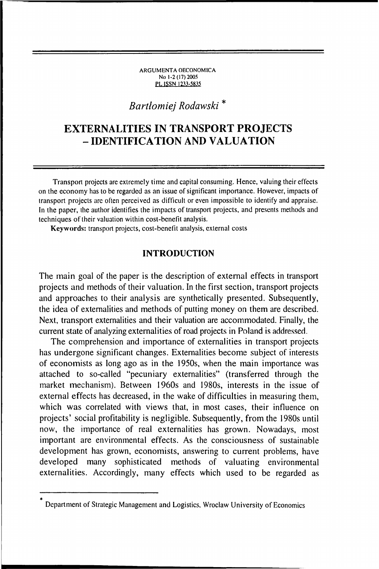#### ARGUM ENTA OECONOMICA No 1-2(17)2005 PL ISSN 1233-5835

# *Bartłomiej Rodawski* \*

# **EXTERNALITIES IN TRANSPORT PROJECTS - IDENTIFICATION AND VALUATION**

Transport projects are extremely time and capital consuming. Hence, valuing their effects on the economy has to be regarded as an issue of significant importance. However, impacts of transport projects arc often perceived as difficult or even im possible to identify and appraise. In the paper, the author identifies the impacts of transport projects, and presents methods and techniques of their valuation within cost-benefit analysis.

Keywords: transport projects, cost-benefit analysis, external costs

### INTRODUCTION

The main goal of the paper is the description of external effects in transport projects and methods of their valuation. In the first section, transport projects and approaches to their analysis are synthetically presented. Subsequently, the idea of externalities and methods of putting money on them are described. Next, transport externalities and their valuation are accommodated. Finally, the current state of analyzing externalities of road projects in Poland is addressed.

The comprehension and importance of externalities in transport projects has undergone significant changes. Externalities become subject of interests of economists as long ago as in the 1950s, when the main importance was attached to so-called "pecuniary externalities" (transferred through the market mechanism). Between 1960s and 1980s, interests in the issue of external effects has decreased, in the wake of difficulties in measuring them, which was correlated with views that, in most cases, their influence on projects' social profitability is negligible. Subsequently, from the 1980s until now, the importance of real externalities has grown. Nowadays, most important are environmental effects. As the consciousness of sustainable development has grown, economists, answering to current problems, have developed many sophisticated methods of valuating environmental externalities. Accordingly, many effects which used to be regarded as

<sup>\*</sup> Department of Strategic Management and Logistics, Wroclaw University of Economics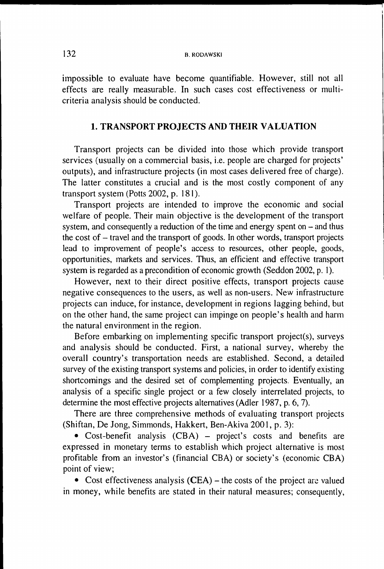impossible to evaluate have become quantifiable. However, still not all effects are really measurable. In such cases cost effectiveness or multicriteria analysis should be conducted.

### 1. TRANSPORT PROJECTS AND THEIR VALUATION

Transport projects can be divided into those which provide transport services (usually on a commercial basis, i.e. people are charged for projects' outputs), and infrastructure projects (in most cases delivered free of charge). The latter constitutes a crucial and is the most costly component of any transport system (Potts 2002, p. 181).

Transport projects are intended to improve the economic and social welfare of people. Their main objective is the development of the transport system, and consequently a reduction of the time and energy spent on  $-$  and thus the cost of - travel and the transport of goods. In other words, transport projects lead to improvement of people's access to resources, other people, goods, opportunities, markets and services. Thus, an efficient and effective transport system is regarded as a precondition of economic growth (Seddon 2002, p. 1).

However, next to their direct positive effects, transport projects cause negative consequences to the users, as well as non-users. New infrastructure projects can induce, for instance, development in regions lagging behind, but on the other hand, the same project can impinge on people's health and harm the natural environment in the region.

Before embarking on implementing specific transport project(s), surveys and analysis should be conducted. First, a national survey, whereby the overall country's transportation needs are established. Second, a detailed survey of the existing transport systems and policies, in order to identify existing shortcomings and the desired set of complementing projects. Eventually, an analysis of a specific single project or a few closely interrelated projects, to determine the most effective projects alternatives (Adler 1987, p. 6, 7).

There are three comprehensive methods of evaluating transport projects (Shiftan, De Jong, Simmonds, Hakkert, Ben-Akiva 2001, p. 3):

• Cost-benefit analysis (CBA) – project's costs and benefits are expressed in monetary terms to establish which project alternative is most profitable from an investor's (financial CBA) or society's (economic CBA) point of view;

• Cost effectiveness analysis (CEA) – the costs of the project are valued in money, while benefits are stated in their natural measures; consequently,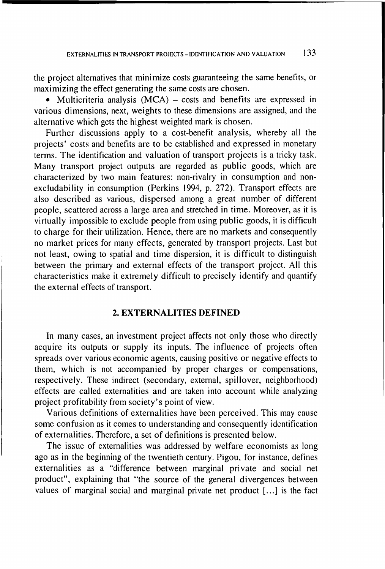the project alternatives that minimize costs guaranteeing the same benefits, or maximizing the effect generating the same costs are chosen.

• Multicriteria analysis (MCA) – costs and benefits are expressed in various dimensions, next, weights to these dimensions are assigned, and the alternative which gets the highest weighted mark is chosen.

Further discussions apply to a cost-benefit analysis, whereby all the projects' costs and benefits are to be established and expressed in monetary terms. The identification and valuation of transport projects is a tricky task. Many transport project outputs are regarded as public goods, which are characterized by two main features: non-rivalry in consumption and nonexcludability in consumption (Perkins 1994, p. 272). Transport effects are also described as various, dispersed among a great number of different people, scattered across a large area and stretched in time. Moreover, as it is virtually impossible to exclude people from using public goods, it is difficult to charge for their utilization. Hence, there are no markets and consequently no market prices for many effects, generated by transport projects. Last but not least, owing to spatial and time dispersion, it is difficult to distinguish between the primary and external effects of the transport project. All this characteristics make it extremely difficult to precisely identify and quantify the external effects of transport.

### 2. EXTERNALITIES DEFINED

In many cases, an investment project affects not only those who directly acquire its outputs or supply its inputs. The influence of projects often spreads over various economic agents, causing positive or negative effects to them, which is not accompanied by proper charges or compensations, respectively. These indirect (secondary, external, spillover, neighborhood) effects are called externalities and are taken into account while analyzing project profitability from society's point of view.

Various definitions of externalities have been perceived. This may cause some confusion as it comes to understanding and consequently identification of externalities. Therefore, a set of definitions is presented below.

The issue of externalities was addressed by welfare economists as long ago as in the beginning of the twentieth century. Pigou, for instance, defines externalities as a "difference between marginal private and social net product", explaining that "the source of the general divergences between values of marginal social and marginal private net product [...] is the fact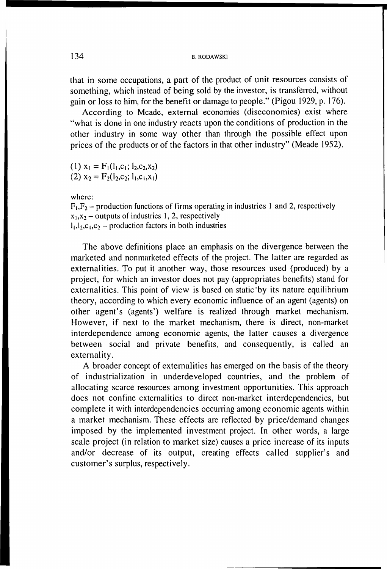that in some occupations, a part of the product of unit resources consists of something, which instead of being sold by the investor, is transferred, without gain or loss to him, for the benefit or damage to people." (Pigou 1929, p. 176).

According to Mcadc, external economies (diseconomies) exist where "what is done in one industry reacts upon the conditions of production in the other industry in some way other than through the possible effect upon prices of the products or of the factors in that other industry" (Meade 1952).

(1)  $x_1 = F_1(l_1,c_1; l_2,c_2,x_2)$ (2)  $x_2 = F_2(l_2, c_2; l_1, c_1, x_1)$ 

where:

 $F_1, F_2$  – production functions of firms operating in industries 1 and 2, respectively  $x_1, x_2$  - outputs of industries 1, 2, respectively  $1_1, 1_2, c_1, c_2$  – production factors in both industries

The above definitions place an emphasis on the divergence between the marketed and nonmarketed effects of the project. The latter are regarded as externalities. To put it another way, those resources used (produced) by a project, for which an investor does not pay (appropriates benefits) stand for externalities. This point of view is based on static'by its nature equilibrium theory, according to which every economic influence of an agent (agents) on other agent's (agents') welfare is realized through market mechanism. However, if next to the market mechanism, there is direct, non-market interdependence among economic agents, the latter causes a divergence between social and private benefits, and consequently, is called an externality.

A broader concept of externalities has emerged on the basis of the theory of industrialization in underdeveloped countries, and the problem of allocating scarce resources among investment opportunities. This approach does not confine externalities to direct non-market interdependencies, but complete it with interdependencies occurring among economic agents within a market mechanism. These effects are reflected by price/demand changes imposed by the implemented investment project. In other words, a large scale project (in relation to market size) causes a price increase of its inputs and/or decrease of its output, creating effects called supplier's and customer's surplus, respectively.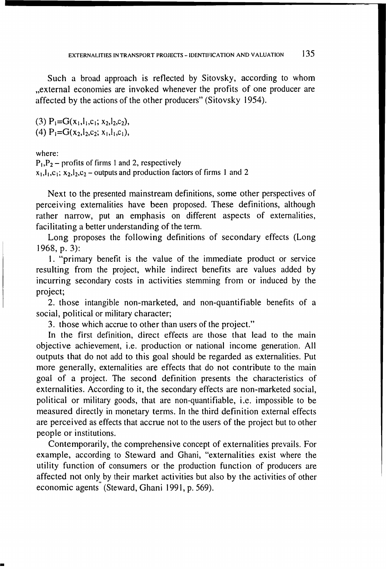Such a broad approach is reflected by Sitovsky, according to whom ..external economies are invoked whenever the profits of one producer are affected by the actions of the other producers" (Sitovsky 1954).

(3)  $P_1 = G(x_1, l_1, c_1; x_2, l_2, c_2)$ , (4)  $P_1 = G(x_2, l_2, c_2; x_1, l_1, c_1)$ 

where:

 $P_1$ ,  $P_2$  – profits of firms 1 and 2, respectively  $x_1, l_1, c_1$ ;  $x_2, l_2, c_2$  - outputs and production factors of firms 1 and 2

Next to the presented mainstream definitions, some other perspectives of perceiving externalities have been proposed. These definitions, although rather narrow, put an emphasis on different aspects of externalities, facilitating a better understanding of the term.

Long proposes the following definitions of secondary effects (Long 1968, p. 3):

1. "primary benefit is the value of the immediate product or service resulting from the project, while indirect benefits are values added by incurring secondary costs in activities stemming from or induced by the project;

2. those intangible non-marketed, and non-quantifiable benefits of a social, political or military character;

3. those which accrue to other than users of the project."

In the first definition, direct effects are those that lead to the main objective achievement, i.e. production or national income generation. All outputs that do not add to this goal should be regarded as externalities. Put more generally, externalities are effects that do not contribute to the main goal of a project. The second definition presents the characteristics of externalities. According to it, the secondary effects are non-marketed social, political or military goods, that are non-quantifiable, i.e. impossible to be measured directly in monetary terms. In the third definition external effects are perceived as effects that accrue not to the users of the project but to other people or institutions.

Contemporarily, the comprehensive concept of externalities prevails. For example, according to Steward and Ghani, "externalities exist where the utility function of consumers or the production function of producers are affected not only by their market activities but also by the activities of other economic agents<sup>"</sup> (Steward, Ghani 1991, p. 569).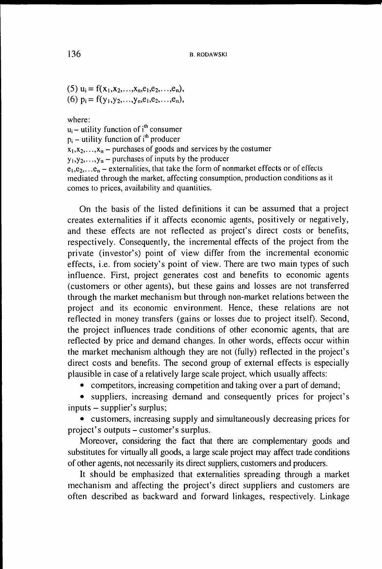(5)  $u_i = f(x_1, x_2, \ldots, x_n, e_1, e_2, \ldots, e_n),$ (6)  $p_i = f(y_1, y_2, \ldots, y_n, e_1, e_2, \ldots, e_n),$ 

where:

 $u_i$  – utility function of i<sup>th</sup> consumer  $p_i$  – utility function of i<sup>th</sup> producer  $x_1, x_2, \ldots, x_n$  – purchases of goods and services by the costumer  $y_1, y_2, \ldots, y_n$  – purchases of inputs by the producer  $e_1, e_2, \ldots e_n$  – externalities, that take the form of nonmarket effects or of effects mediated through the market, affecting consumption, production conditions as it comes to prices, availability and quantities.

On the basis of the listed definitions it can be assumed that a project creates externalities if it affects economic agents, positively or negatively, and these effects are not reflected as project's direct costs or benefits, respectively. Consequently, the incremental effects of the project from the private (investor's) point of view differ from the incremental economic effects, i.e. from society's point of view. There are two main types of such influence. First, project generates cost and benefits to economic agents (customers or other agents), but these gains and losses are not transferred through the market mechanism but through non-market relations between the project and its economic environment. Hence, these relations are not reflected in money transfers (gains or losses due to project itself). Second, the project influences trade conditions of other economic agents, that are reflected by price and demand changes. In other words, effects occur within the market mechanism although they are not (fully) reflected in the project's direct costs and benefits. The second group of external effects is especially plausible in case of a relatively large scale project, which usually affects:

• competitors, increasing competition and taking over a part of demand;

• suppliers, increasing demand and consequently prices for project's inputs - supplier's surplus;

• customers, increasing supply and simultaneously decreasing prices for project's outputs - customer's surplus.

Moreover, considering the fact that there are complementary goods and substitutes for virtually all goods, a large scale project may affect trade conditions of other agents, not necessarily its direct suppliers, customers and producers.

It should be emphasized that externalities spreading through a market mechanism and affecting the project's direct suppliers and customers are often described as backward and forward linkages, respectively. Linkage

136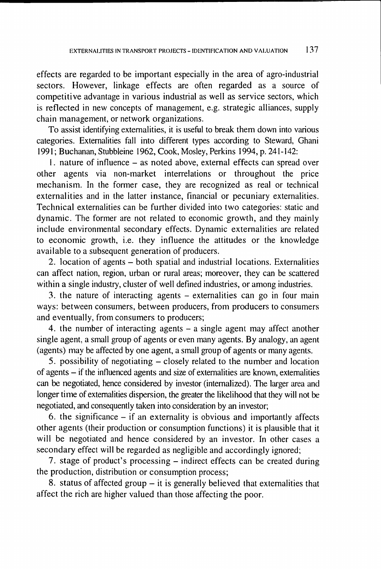effects are regarded to be important especially in the area of agro-industrial sectors. However, linkage effects are often regarded as a source of competitive advantage in various industrial as well as service sectors, which is reflected in new concepts of management, e.g. strategic alliances, supply chain management, or network organizations.

To assist identifying externalities, it is useful to break them down into various categories. Externalities fall into different types according to Steward, Ghani 1991; Buchanan, Stubbleine 1962, Cook, Mosley, Perkins 1994, p. 241-142:

1. nature of influence – as noted above, external effects can spread over other agents via non-market interrelations or throughout the price mechanism. In the former case, they are recognized as real or technical externalities and in the latter instance, financial or pecuniary externalities. Technical externalities can be further divided into two categories: static and dynamic. The former are not related to economic growth, and they mainly include environmental secondary effects. Dynamic externalities are related to economic growth, i.e. they influence the attitudes or the knowledge available to a subsequent generation of producers.

2. location of agents - both spatial and industrial locations. Externalities can affect nation, region, urban or rural areas; moreover, they can be scattered within a single industry, cluster of well defined industries, or among industries.

3. the nature of interacting agents - externalities can go in four main ways: between consumers, between producers, from producers to consumers and eventually, from consumers to producers;

4. the number of interacting agents - a single agent may affect another single agent, a small group of agents or even many agents. By analogy, an agent (agents) may be affected by one agent, a small group of agents or many agents.

5. possibility of negotiating – closely related to the number and location of agents - if the influenced agents and size of externalities are known, externalities can be negotiated, hence considered by investor (internalized). The larger area and longer time of externalities dispersion, the greater the likelihood that they will not be negotiated, and consequently taken into consideration by an investor;

6. the significance - if an externality is obvious and importantly affects other agents (their production or consumption functions) it is plausible that it will be negotiated and hence considered by an investor. In other cases a secondary effect will be regarded as negligible and accordingly ignored;

7. stage of product's processing - indirect effects can be created during the production, distribution or consumption process;

8. status of affected group  $-$  it is generally believed that externalities that affect the rich are higher valued than those affecting the poor.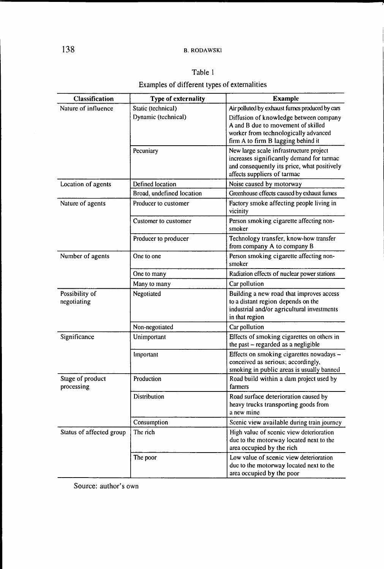### Table 1

# Examples of different types of externalities

| Classification                 | Type of externality       | <b>Example</b>                                                                                                                                                    |
|--------------------------------|---------------------------|-------------------------------------------------------------------------------------------------------------------------------------------------------------------|
| Nature of influence            | Static (technical)        | Air polluted by exhaust furnes produced by cars                                                                                                                   |
|                                | Dynamic (technical)       | Diffusion of knowledge between company<br>A and B due to movement of skilled<br>worker from technologically advanced<br>firm A to firm B lagging behind it        |
|                                | Pecuniary                 | New large scale infrastructure project<br>increases significantly demand for tarmac<br>and consequently its price, what positively<br>affects suppliers of tarmac |
| Location of agents             | Defined location          | Noise caused by motorway                                                                                                                                          |
|                                | Broad, undefined location | Greenhouse effects caused by exhaust fumes                                                                                                                        |
| Nature of agents               | Producer to customer      | Factory smoke affecting people living in<br>vicinity                                                                                                              |
|                                | Customer to customer      | Person smoking cigarette affecting non-<br>smoker                                                                                                                 |
|                                | Producer to producer      | Technology transfer, know-how transfer<br>from company A to company B                                                                                             |
| Number of agents               | One to one                | Person smoking cigarette affecting non-<br>smoker                                                                                                                 |
|                                | One to many               | Radiation effects of nuclear power stations                                                                                                                       |
|                                | Many to many              | Car pollution                                                                                                                                                     |
| Possibility of<br>negotiating  | Negotiated                | Building a new road that improves access<br>to a distant region depends on the<br>industrial and/or agricultural investments<br>in that region                    |
|                                | Non-negotiated            | Car pollution                                                                                                                                                     |
| Significance                   | Unimportant               | Effects of smoking cigarettes on others in<br>the past - regarded as a negligible                                                                                 |
|                                | Important                 | Effects on smoking cigarettes nowadays -<br>conceived as serious; accordingly,<br>smoking in public areas is usually banned                                       |
| Stage of product<br>processing | Production                | Road build within a dam project used by<br>farmers                                                                                                                |
|                                | Distribution              | Road surface deterioration caused by<br>heavy trucks transporting goods from<br>a new mine                                                                        |
|                                | Consumption               | Scenic view available during train journey                                                                                                                        |
| Status of affected group       | The rich                  | High value of scenic view deterioration<br>due to the motorway located next to the<br>area occupied by the rich                                                   |
|                                | The poor                  | Low value of scenic view deterioration<br>due to the motorway located next to the<br>area occupied by the poor                                                    |

Source: author's own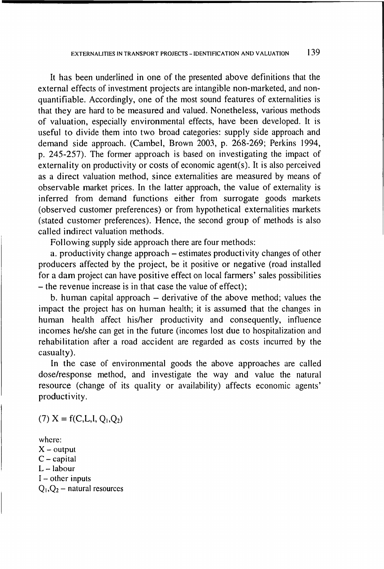It has been underlined in one of the presented above definitions that the external effects of investment projects are intangible non-marketed, and nonquantifiable. Accordingly, one of the most sound features of externalities is that they are hard to be measured and valued. Nonetheless, various methods of valuation, especially environmental effects, have been developed. It is useful to divide them into two broad categories: supply side approach and demand side approach. (Cambel, Brown 2003, p. 268-269; Perkins 1994, p. 245-257). The former approach is based on investigating the impact of externality on productivity or costs of economic agent(s). It is also perceived as a direct valuation method, since externalities are measured by means of observable market prices. In the latter approach, the value of externality is inferred from demand functions either from surrogate goods markets (observed customer preferences) or from hypothetical externalities markets (stated customer preferences). Hence, the second group of methods is also called indirect valuation methods.

Following supply side approach there are four methods:

a. productivity change approach – estimates productivity changes of other producers affected by the project, be it positive or negative (road installed for a dam project can have positive effect on local farmers' sales possibilities - the revenue increase is in that case the value of effect);

b. human capital approach  $-$  derivative of the above method; values the impact the project has on human health; it is assumed that the changes in human health affect his/her productivity and consequently, influence incomes he/she can get in the future (incomes lost due to hospitalization and rehabilitation after a road accident are regarded as costs incurred by the casualty).

In the case of environmental goods the above approaches are called dose/response method, and investigate the way and value the natural resource (change of its quality or availability) affects economic agents' productivity.

(7)  $X = f(C, L, I, Q_1, Q_2)$ 

where:  $X -$  output  $C -$  capital  $L -$ labour  $I - other$  inputs  $Q_1$ ,  $Q_2$  – natural resources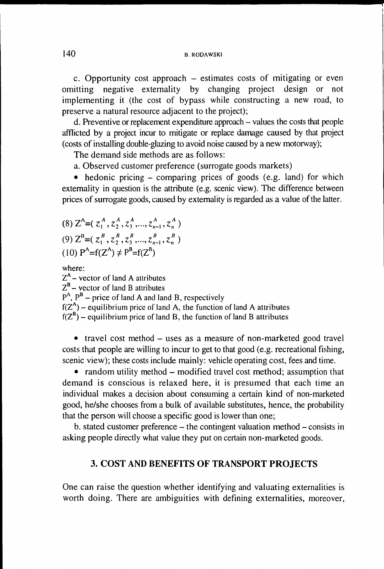c. Opportunity cost approach  $-$  estimates costs of mitigating or even omitting negative externality by changing project design or not implementing it (the cost of bypass while constructing a new road, to preserve a natural resource adjacent to the project);

d. Preventive or replacement expenditure approach – values the costs that people afflicted by a project incur to mitigate or replace damage caused by that project (costs of installing double-glazing to avoid noise caused by a new motorway);

The demand side methods are as follows:

a. Observed customer preference (surrogate goods markets)

• hedonic pricing – comparing prices of goods (e.g. land) for which externality in question is the attribute (e.g. scenic view). The difference between prices of surrogate goods, caused by externality is regarded as a value of the latter.

(8)  $Z^A = (z_1^A, z_2^A, z_3^A, ..., z_{n-1}^A, z_n^A)$ (9)  $Z^{B} = (z_1^{B}, z_2^{B}, z_3^{B}, ..., z_{n-1}^{B}, z_n^{B})$ (10)  $P^A = f(Z^A) \neq P^B = f(Z^B)$ 

where:

 $Z<sup>A</sup>$  – vector of land A attributes

 $Z^B$  – vector of land B attributes

 $P^{A}$ ,  $P^{B}$  – price of land A and land B, respectively

 $f(Z<sup>A</sup>)$  – equilibrium price of land A, the function of land A attributes

 $f(Z^B)$  – equilibrium price of land B, the function of land B attributes

• travel cost method – uses as a measure of non-marketed good travel costs that people are willing to incur to get to that good (e.g. recreational fishing, scenic view); these costs include mainly: vehicle operating cost, fees and time.

• random utility method – modified travel cost method; assumption that dem and is conscious is relaxed here, it is presumed that each time an individual makes a decision about consuming a certain kind of non-marketed good, he/she chooses from a bulk of available substitutes, hence, the probability that the person will choose a specific good is lower than one;

b. stated customer preference – the contingent valuation method – consists in asking people directly what value they put on certain non-marketed goods.

## 3. COST AND BENEFITS OF TRANSPORT PROJECTS

One can raise the question whether identifying and valuating externalities is worth doing. There are ambiguities with defining externalities, moreover,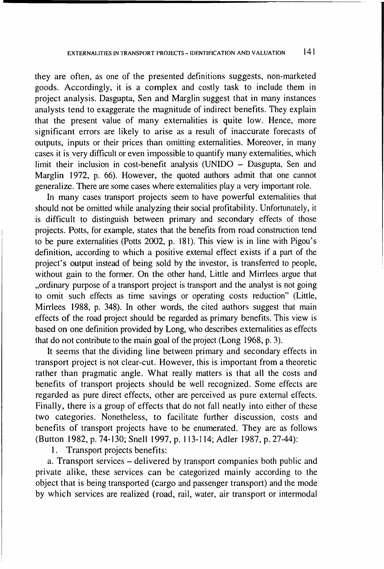they are often, as one of the presented definitions suggests, non-marketed goods. Accordingly, it is a complex and costly task to include them in project analysis. Dasgupta, Sen and Marglin suggest that in many instances analysts tend to exaggerate the magnitude of indirect benefits. They explain that the present value of many externalities is quite low. Hence, more significant errors are likely to arise as a result of inaccurate forecasts of outputs, inputs or their prices than omitting externalities. Moreover, in many cases it is very difficult or even impossible to quantify many externalities, which limit their inclusion in cost-benefit analysis (UNIDO – Dasgupta, Sen and Marglin 1972, p. 66). However, the quoted authors admit that one cannot generalize. There are some cases where externalities play a very important role.

In many cases transport projects seem to have powerful externalities that should not be omitted while analyzing their social profitability. Unfortunately, it is difficult to distinguish between primary and secondary effects of those projects. Potts, for example, states that the benefits from road construction tend to be pure externalities (Potts 2002, p. 181). This view is in line with Pigou's definition, according to which a positive external effect exists if a part of the project's output instead of being sold by the investor, is transferred to people, without gain to the former. On the other hand, Little and Mirrlees argue that "ordinary purpose of a transport project is transport and the analyst is not going" to omit such effects as time savings or operating costs reduction" (Little, Mirrlees 1988, p. 348). In other words, the cited authors suggest that main effects of the road project should be regarded as primary benefits. This view is based on one definition provided by Long, who describes externalities as effects that do not contribute to the main goal of the project (Long 1968, p. 3).

It seems that the dividing line between primary and secondary effects in transport project is not clear-cut. However, this is important from a theoretic rather than pragmatic angle. W hat really matters is that all the costs and benefits of transport projects should be well recognized. Some effects are regarded as pure direct effects, other are perceived as pure external effects. Finally, there is a group of effects that do not fall neatly into either of these two categories. Nonetheless, to facilitate further discussion, costs and benefits of transport projects have to be enumerated. They are as follows (Button 1982, p. 74-130; Snell 1997, p. 113-114; Adler 1987, p. 27-44):

1. Transport projects benefits:

a. Transport services - delivered by transport companies both public and private alike, these services can be categorized mainly according to the object that is being transported (cargo and passenger transport) and the mode by which services are realized (road, rail, water, air transport or intermodal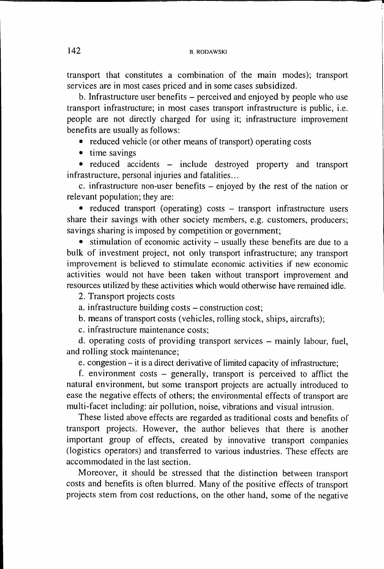transport that constitutes a combination of the main modes); transport services are in most cases priced and in some cases subsidized.

b. Infrastructure user benefits – perceived and enjoyed by people who use transport infrastructure; in most cases transport infrastructure is public, i.e. people are not directly charged for using it; infrastructure improvement benefits are usually as follows:

• reduced vehicle (or other means of transport) operating costs

• time savings

• reduced accidents - include destroyed property and transport infrastructure, personal injuries and fatalities...

c. infrastructure non-user benefits – enjoyed by the rest of the nation or relevant population; they are:

• reduced transport (operating) costs - transport infrastructure users share their savings with other society members, e.g. customers, producers; savings sharing is imposed by competition or government;

• stimulation of economic activity – usually these benefits are due to a bulk of investment project, not only transport infrastructure; any transport improvement is believed to stimulate economic activities if new economic activities would not have been taken without transport improvement and resources utilized by these activities which would otherwise have remained idle.

2. Transport projects costs

a. infrastructure building costs - construction cost;

b. means of transport costs (vehicles, rolling stock, ships, aircrafts);

c. infrastructure maintenance costs;

d. operating costs of providing transport services - mainly labour, fuel, and rolling stock maintenance;

e. congestion - it is a direct derivative of limited capacity of infrastructure;

f. environment costs - generally, transport is perceived to afflict the natural environment, but some transport projects are actually introduced to ease the negative effects of others; the environmental effects of transport are multi-facet including: air pollution, noise, vibrations and visual intrusion.

These listed above effects are regarded as traditional costs and benefits of transport projects. However, the author believes that there is another important group of effects, created by innovative transport companies (logistics operators) and transferred to various industries. These effects are accommodated in the last section.

Moreover, it should be stressed that the distinction between transport costs and benefits is often blurred. Many of the positive effects of transport projects stem from cost reductions, on the other hand, some of the negative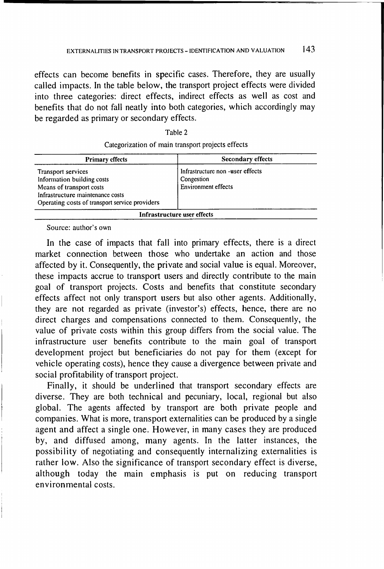effects can become benefits in specific cases. Therefore, they are usually called impacts. In the table below, the transport project effects were divided into three categories: direct effects, indirect effects as well as cost and benefits that do not fall neatly into both categories, which accordingly may be regarded as primary or secondary effects.

| × |  |
|---|--|
|---|--|

| <b>Primary effects</b>                                                                                                                                             | <b>Secondary effects</b>                                                     |
|--------------------------------------------------------------------------------------------------------------------------------------------------------------------|------------------------------------------------------------------------------|
| Transport services<br>Information building costs<br>Means of transport costs<br>Infrastructure maintenance costs<br>Operating costs of transport service providers | Infrastructure non -user effects<br>Congestion<br><b>Environment effects</b> |
|                                                                                                                                                                    | Infrastructure user effects                                                  |

Source: author's own

In the case of impacts that fall into primary effects, there is a direct market connection between those who undertake an action and those affected by it. Consequently, the private and social value is equal. Moreover, these impacts accrue to transport users and directly contribute to the main goal of transport projects. Costs and benefits that constitute secondary effects affect not only transport users but also other agents. Additionally, they are not regarded as private (investor's) effects, hence, there are no direct charges and compensations connected to them. Consequently, the value of private costs within this group differs from the social value. The infrastructure user benefits contribute to the main goal of transport development project but beneficiaries do not pay for them (except for vehicle operating costs), hence they cause a divergence between private and social profitability of transport project.

Finally, it should be underlined that transport secondary effects are diverse. They are both technical and pecuniary, local, regional but also global. The agents affected by transport are both private people and companies. What is more, transport externalities can be produced by a single agent and affect a single one. However, in many cases they are produced by, and diffused among, many agents. In the latter instances, the possibility of negotiating and consequently internalizing externalities is rather low. Also the significance of transport secondary effect is diverse, although today the main emphasis is put on reducing transport environmental costs.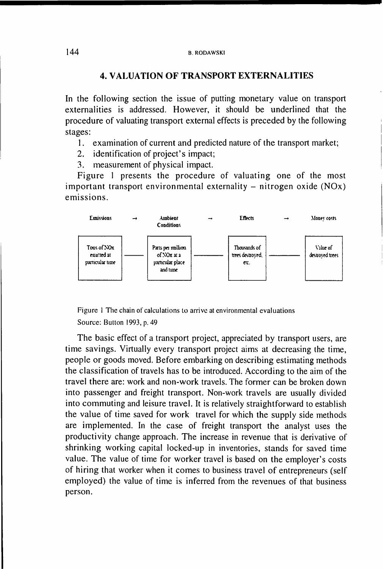## 4. VALUATION OF TRANSPORT EXTERNALITIES

In the following section the issue of putting monetary value on transport externalities is addressed. However, it should be underlined that the procedure of valuating transport external effects is preceded by the following stages:

- 1. examination of current and predicted nature of the transport market;
- 2. identification of project's impact;
- 3. measurement of physical impact.

Figure 1 presents the procedure of valuating one of the most important transport environmental externality – nitrogen oxide  $(NOx)$ emissions.



Figure 1 The chain of calculations to arrive at environmental evaluations Source: Button 1993, p. 49

The basic effect of a transport project, appreciated by transport users, are time savings. Virtually every transport project aims at decreasing the time, people or goods moved. Before embarking on describing estimating methods the classification of travels has to be introduced. According to the aim of the travel there are: work and non-work travels. The former can be broken down into passenger and freight transport. Non-work travels are usually divided into commuting and leisure travel. It is relatively straightforward to establish the value of time saved for work travel for which the supply side methods are implemented. In the case of freight transport the analyst uses the productivity change approach. The increase in revenue that is derivative of shrinking working capital locked-up in inventories, stands for saved time value. The value of time for worker travel is based on the employer's costs of hiring that worker when it comes to business travel of entrepreneurs (self employed) the value of time is inferred from the revenues of that business person.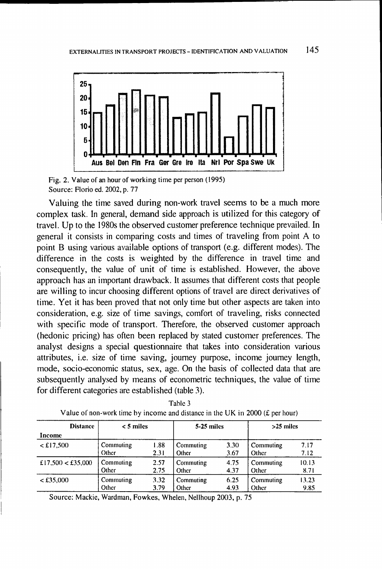

Fig. 2. Value of an hour of working time per person (1995) Source: Florio ed. 2002, p. 77

Valuing the time saved during non-work travel seems to be a much more complex task. In general, demand side approach is utilized for this category of travel. Up to the 1980s the observed customer preference technique prevailed. In general it consists in comparing costs and times of traveling from point A to point B using various available options of transport (e.g. different modes). The difference in the costs is weighted by the difference in travel time and consequently, the value of unit of time is established. However, the above approach has an important drawback. It assumes that different costs that people are willing to incur choosing different options of travel are direct derivatives of time. Yet it has been proved that not only time but other aspects are taken into consideration, e.g. size of time savings, comfort of traveling, risks connected with specific mode of transport. Therefore, the observed customer approach (hedonic pricing) has often been replaced by stated customer preferences. The analyst designs a special questionnaire that takes into consideration various attributes, i.e. size of time saving, journey purpose, income journey length, mode, socio-economic status, sex, age. On the basis of collected data that are subsequently analysed by means of econometric techniques, the value of time for different categories are established (table 3).

| <b>Distance</b>       | $< 5$ miles |      | 5-25 miles |      | $>25$ miles |       |
|-----------------------|-------------|------|------------|------|-------------|-------|
| Income                |             |      |            |      |             |       |
| <£17,500              | Commuting   | 1.88 | Commuting  | 3.30 | Commuting   | 7.17  |
|                       | Other       | 2.31 | Other      | 3.67 | Other       | 7.12  |
| £17,500 $\lt$ £35,000 | Commuting   | 2.57 | Commuting  | 4.75 | Commuting   | 10.13 |
|                       | Other       | 2.75 | Other      | 4.37 | Other       | 8.71  |
| < £35,000             | Commuting   | 3.32 | Commuting  | 6.25 | Commuting   | 13.23 |
|                       | Other       | 3.79 | Other      | 4.93 | Other       | 9.85  |

Table 3 Value of non-work time by income and distance in the UK in 2000 ( $\pounds$  per hour)

Source: Mackie, Wardman, Fowkes, Whelen, Nellhoup 2003, p. 75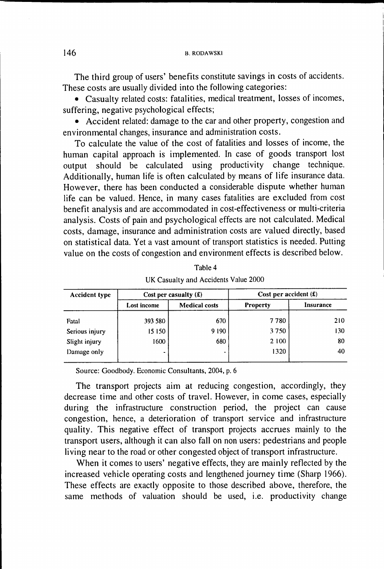The third group of users' benefits constitute savings in costs of accidents. These costs are usually divided into the following categories:

• Casualty related costs: fatalities, medical treatment, losses of incomes, suffering, negative psychological effects;

• Accident related: damage to the car and other property, congestion and environmental changes, insurance and administration costs.

To calculate the value of the cost of fatalities and losses of income, the human capital approach is implemented. In case of goods transport lost output should be calculated using productivity change technique. Additionally, human life is often calculated by means of life insurance data. However, there has been conducted a considerable dispute whether human life can be valued. Hence, in many cases fatalities are excluded from cost benefit analysis and are accommodated in cost-effectiveness or multi-criteria analysis. Costs of pain and psychological effects are not calculated. Medical costs, damage, insurance and administration costs are valued directly, based on statistical data. Yet a vast amount of transport statistics is needed. Putting value on the costs of congestion and environment effects is described below.

| <b>Accident type</b> |                | Cost per casualty $(f)$ | Cost per accident $(f)$ |           |
|----------------------|----------------|-------------------------|-------------------------|-----------|
|                      | Lost income    | <b>Medical costs</b>    | <b>Property</b>         | Insurance |
| Fatal                | 393 580        | 670                     | 7780                    | 210       |
| Serious injury       | 15 150         | 9190                    | 3750                    | 130.      |
| Slight injury        | 1600           | 680                     | 2 100                   | 80        |
| Damage only          | $\blacksquare$ | ٠                       | 1320                    | 40        |

Table 4 UK Casualty and Accidents Value 2000

Source: Goodbody. Economic Consultants, 2004, p. 6

The transport projects aim at reducing congestion, accordingly, they decrease time and other costs of travel. However, in come cases, especially during the infrastructure construction period, the project can cause congestion, hence, a deterioration of transport service and infrastructure quality. This negative effect of transport projects accrues mainly to the transport users, although it can also fall on non users: pedestrians and people living near to the road or other congested object of transport infrastructure.

When it comes to users' negative effects, they are mainly reflected by the increased vehicle operating costs and lengthened journey time (Sharp 1966). These effects are exactly opposite to those described above, therefore, the same methods of valuation should be used, i.e. productivity change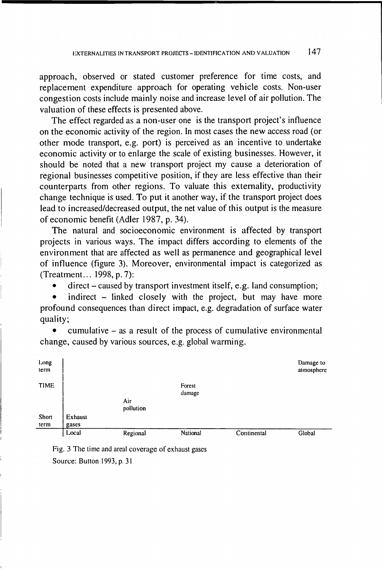approach, observed or stated customer preference for time costs, and replacement expenditure approach for operating vehicle costs. Non-user congestion costs include mainly noise and increase level of air pollution. The valuation of these effects is presented above.

The effect regarded as a non-user one is the transport project's influence on the economic activity of the region. In most cases the new access road (or other mode transport, e.g. port) is perceived as an incentive to undertake economic activity or to enlarge the scale of existing businesses. However, it should be noted that a new transport project my cause a deterioration of regional businesses competitive position, if they are less effective than their counterparts from other regions. To valuate this externality, productivity change technique is used. To put it another way, if the transport project does lead to increased/decreased output, the net value of this output is the measure of economic benefit (Adler 1987, p. 34).

The natural and socioeconomic environment is affected by transport projects in various ways. The impact differs according to elements of the environment that are affected as well as permanence and geographical level of influence (figure 3). Moreover, environmental impact is categorized as (Treatment... 1998, p. 7):

direct – caused by transport investment itself, e.g. land consumption;

indirect – linked closely with the project, but may have more profound consequences than direct impact, e.g. degradation of surface water quality;

cumulative  $-$  as a result of the process of cumulative environmental change, caused by various sources, e.g. global warming.



Fig. 3 The time and areal coverage of exhaust gases Source: Button 1993, p. 31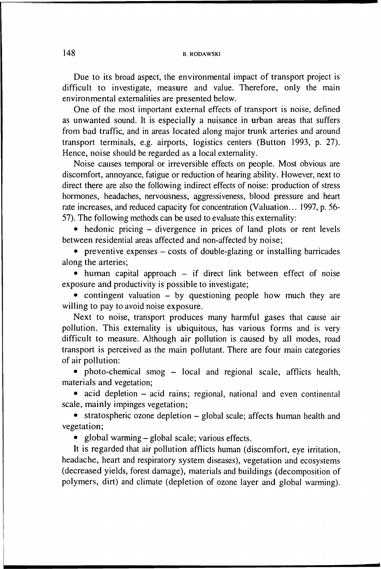Due to its broad aspect, the environmental impact of transport project is difficult to investigate, measure and value. Therefore, only the main environmental externalities are presented below.

One of the most important external effects of transport is noise, defined as unwanted sound. It is especially a nuisance in urban areas that suffers from bad traffic, and in areas located along major trunk arteries and around transport terminals, e.g. airports, logistics centers (Button 1993, p. 27). Hence, noise should be regarded as a local externality.

Noise causes temporal or irreversible effects on people. Most obvious are discomfort, annoyance, fatigue or reduction of hearing ability. However, next to direct there are also the following indirect effects of noise: production of stress hormones, headaches, nervousness, aggressiveness, blood pressure and heart rate increases, and reduced capacity for concentration (Valuation... 1997, p. 56- 57). The following methods can be used to evaluate this externality:

• hedonic pricing – divergence in prices of land plots or rent levels between residential areas affected and non-affected by noise;

• preventive expenses  $-\cos t$  of double-glazing or installing barricades along the arteries;

 $\bullet$  human capital approach  $-$  if direct link between effect of noise exposure and productivity is possible to investigate;

• contingent valuation  $-$  by questioning people how much they are willing to pay to avoid noise exposure.

Next to noise, transport produces many harmful gases that cause air pollution. This externality is ubiquitous, has various forms and is very difficult to measure. Although air pollution is caused by all modes, road transport is perceived as the main pollutant. There are four main categories of air pollution:

• photo-chemical smog – local and regional scale, afflicts health, materials and vegetation;

• acid depletion – acid rains; regional, national and even continental scale, mainly impinges vegetation;

• stratospheric ozone depletion – global scale; affects human health and vegetation;

• global warming – global scale; various effects.

It is regarded that air pollution afflicts human (discomfort, eye irritation, headache, heart and respiratory system diseases), vegetation and ecosystems (decreased yields, forest damage), materials and buildings (decomposition of polymers, dirt) and climate (depletion of ozone layer and global warming).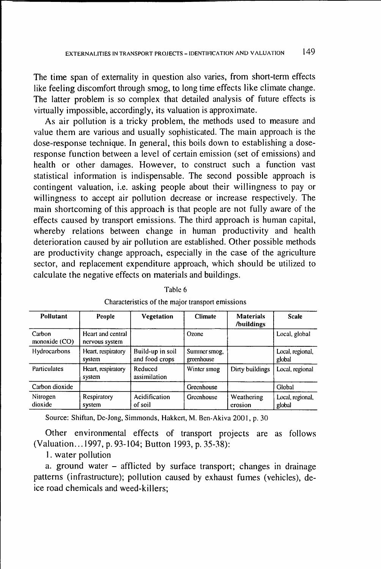The time span of externality in question also varies, from short-term effects like feeling discomfort through smog, to long time effects like climate change. The latter problem is so complex that detailed analysis of future effects is virtually impossible, accordingly, its valuation is approximate.

As air pollution is a tricky problem, the methods used to measure and value them are various and usually sophisticated. The main approach is the dose-response technique. In general, this boils down to establishing a doseresponse function between a level of certain emission (set of emissions) and health or other damages. However, to construct such a function vast statistical information is indispensable. The second possible approach is contingent valuation, i.e. asking people about their willingness to pay or willingness to accept air pollution decrease or increase respectively. The main shortcoming of this approach is that people are not fully aware of the effects caused by transport emissions. The third approach is human capital, whereby relations between change in human productivity and health deterioration caused by air pollution are established. Other possible methods are productivity change approach, especially in the case of the agriculture sector, and replacement expenditure approach, which should be utilized to calculate the negative effects on materials and buildings.

| Pollutant                 | People                              | <b>Vegetation</b>                  | <b>Climate</b>             | <b>Materials</b><br>/buildings | <b>Scale</b>               |
|---------------------------|-------------------------------------|------------------------------------|----------------------------|--------------------------------|----------------------------|
| Carbon<br>monoxide $(CO)$ | Heart and central<br>nervous system |                                    | Ozone                      |                                | Local, global              |
| Hydrocarbons              | Heart, respiratory<br>system        | Build-up in soil<br>and food crops | Summer smog.<br>greenhouse |                                | Local, regional,<br>global |
| <b>Particulates</b>       | Heart, respiratory<br>system        | Reduced<br>assimilation            | Winter smog                | Dirty buildings                | Local, regional            |
| Carbon dioxide            |                                     |                                    | Greenhouse                 |                                | Global                     |
| Nitrogen<br>dioxide       | Respiratory<br>system               | Acidification<br>of soil           | Greenhouse                 | Weathering<br>erosion          | Local, regional,<br>global |

Tabic 6

| Characteristics of the major transport emissions |  |  |  |
|--------------------------------------------------|--|--|--|
|                                                  |  |  |  |

Source: Shiftan, De-Jong, Simmonds, Hakkert, M. Ben-Akiva 2001, p. 30

Other environmental effects of transport projects are as follows (Valuation... 1997, p. 93-104; Button 1993, p. 35-38):

1. water pollution

a. ground water - afflicted by surface transport; changes in drainage patterns (infrastructure); pollution caused by exhaust fumes (vehicles), deice road chemicals and weed-killers;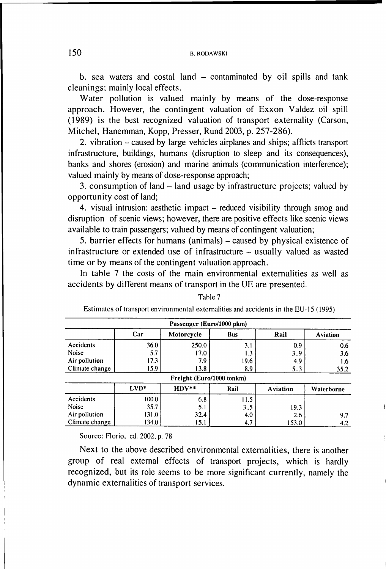b. sea waters and costal land  $-$  contaminated by oil spills and tank cleanings; mainly local effects.

Water pollution is valued mainly by means of the dose-response approach. However, the contingent valuation of Exxon Valdez oil spill (1989) is the best recognized valuation of transport externality (Carson, Mitchel, Hanemman, Kopp, Presser, Rund 2003, p. 257-286).

2. vibration - caused by large vehicles airplanes and ships; afflicts transport infrastructure, buildings, humans (disruption to sleep and its consequences), banks and shores (erosion) and marine animals (communication interference); valued mainly by means of dose-response approach;

3. consumption of land  $-$  land usage by infrastructure projects; valued by opportunity cost of land;

4. visual intrusion: aesthetic impact – reduced visibility through smog and disruption of scenic views; however, there are positive effects like scenic views available to train passengers; valued by means of contingent valuation;

5. barrier effects for humans (animals) – caused by physical existence of infrastructure or extended use of infrastructure – usually valued as wasted time or by means of the contingent valuation approach.

In table 7 the costs of the main environmental externalities as well as accidents by different means of transport in the UE are presented.

| Passenger (Euro/1000 pkm) |        |                           |            |                 |                 |
|---------------------------|--------|---------------------------|------------|-----------------|-----------------|
|                           | Car    | Motorcycle                | <b>Bus</b> | Rail            | <b>Aviation</b> |
| Accidents                 | 36.0   | 250.0                     | 3.1        | 0.9             | 0.6             |
| Noise                     | 5.7    | 17.0                      | 1.3        | 3.9             | 3.6             |
| Air pollution             | 17.3   | 7.9                       | 19.6       | 4.9             | 1.6             |
| Climate change            | 15.9   | 13.8                      | 8.9        | 5.3             | 35.2            |
|                           |        | Freight (Euro/1000 tonkm) |            |                 |                 |
|                           | $LVD*$ | $HDV**$                   | Rail       | <b>Aviation</b> | Waterborne      |
| Accidents                 | 100.0  | 6.8                       | 11.5       |                 |                 |
| Noise                     | 35.7   | 5.1                       | 3.5        | 19.3            |                 |
| Air pollution             | 131.0  | 32.4                      | 4.0        | 2.6             | 9.7             |
| Climate change            | 134.0  | 15.1                      | 4.7        | 153.0           | 4.2             |

Table 7

Estimates of transport environmental externalities and accidents in the EU-15 (1995)

Source: Florio, cd. 2002, p. 78

Next to the above described environmental externalities, there is another group of real external effects of transport projects, which is hardly recognized, but its role seems to be more significant currently, namely the dynamic externalities of transport services.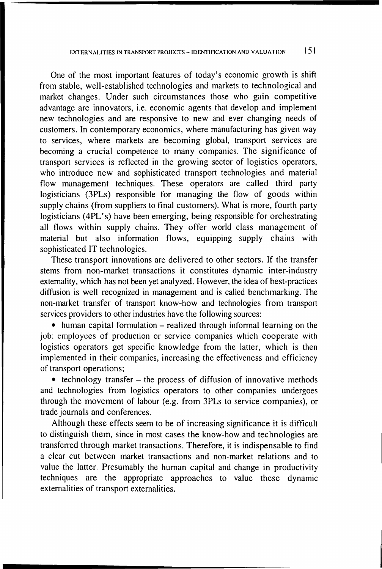One of the most important features of today's economic growth is shift from stable, well-established technologies and markets to technological and market changes. Under such circumstances those who gain competitive advantage are innovators, i.e. economic agents that develop and implement new technologies and are responsive to new and ever changing needs of customers. In contemporary economics, where manufacturing has given way to services, where markets are becoming global, transport services are becoming a crucial competence to many companies. The significance of transport services is reflected in the growing sector of logistics operators, who introduce new and sophisticated transport technologies and material flow management techniques. These operators are called third party logisticians (3PLs) responsible for managing the flow of goods within supply chains (from suppliers to final customers). What is more, fourth party logisticians (4PL's) have been emerging, being responsible for orchestrating all flows within supply chains. They offer world class management of material but also information flows, equipping supply chains with sophisticated IT technologies.

These transport innovations are delivered to other sectors. If the transfer stems from non-market transactions it constitutes dynamic inter-industry externality, which has not been yet analyzed. However, the idea of best-practices diffusion is well recognized in management and is called benchmarking. The non-market transfer of transport know-how and technologies from transport services providers to other industries have the following sources:

• human capital formulation – realized through informal learning on the job: employees of production or service companies which cooperate with logistics operators get specific knowledge from the latter, which is then implemented in their companies, increasing the effectiveness and efficiency of transport operations;

 $\bullet$  technology transfer – the process of diffusion of innovative methods and technologies from logistics operators to other companies undergoes through the movement of labour (e.g. from 3PLs to service companies), or trade journals and conferences.

Although these effects seem to be of increasing significance it is difficult to distinguish them, since in most cases the know-how and technologies are transferred through market transactions. Therefore, it is indispensable to find a clear cut between market transactions and non-market relations and to value the latter. Presumably the human capital and change in productivity techniques are the appropriate approaches to value these dynamic externalities of transport externalities.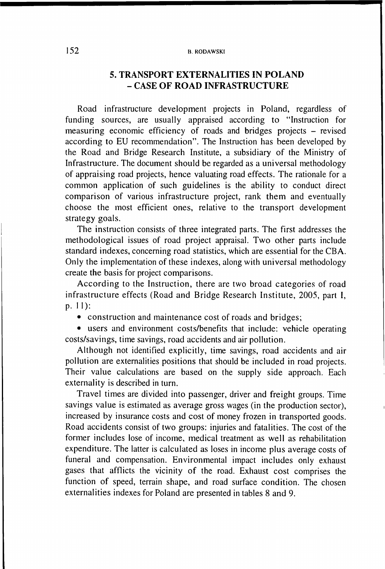#### **B. RODAWSKI**

# 5. TRANSPORT EXTERNALITIES IN POLAND - CASE OF ROAD INFRASTRUCTURE

Road infrastructure development projects in Poland, regardless of funding sources, are usually appraised according to "Instruction for measuring economic efficiency of roads and bridges projects - revised according to EU recommendation". The Instruction has been developed by the Road and Bridge Research Institute, a subsidiary of the Ministry of Infrastructure. The document should be regarded as a universal methodology of appraising road projects, hence valuating road effects. The rationale for a common application of such guidelines is the ability to conduct direct comparison of various infrastructure project, rank them and eventually choose the most efficient ones, relative to the transport development strategy goals.

The instruction consists of three integrated parts. The first addresses the methodological issues of road project appraisal. Two other parts include standard indexes, concerning road statistics, which are essential for the CBA. Only the implementation of these indexes, along with universal methodology create the basis for project comparisons.

According to the Instruction, there are two broad categories of road infrastructure effects (Road and Bridge Research Institute, 2005, part I, P- 11):

• construction and maintenance cost of roads and bridges;

• users and environment costs/benefits that include: vehicle operating costs/savings, time savings, road accidents and air pollution.

Although not identified explicitly, time savings, road accidents and air pollution are externalities positions that should be included in road projects. Their value calculations are based on the supply side approach. Each externality is described in turn.

Travel times are divided into passenger, driver and freight groups. Time savings value is estimated as average gross wages (in the production sector), increased by insurance costs and cost of money frozen in transported goods. Road accidents consist of two groups: injuries and fatalities. The cost of the former includes lose of income, medical treatment as well as rehabilitation expenditure. The latter is calculated as loses in income plus average costs of funeral and compensation. Environmental impact includes only exhaust gases that afflicts the vicinity of the road. Exhaust cost comprises the function of speed, terrain shape, and road surface condition. The chosen externalities indexes for Poland are presented in tables 8 and 9.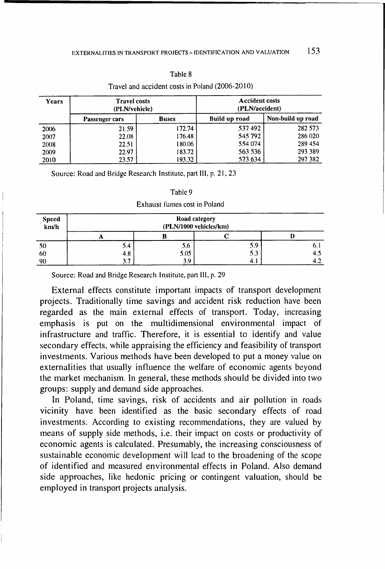| i able : |  |
|----------|--|
|----------|--|

| Years | <b>Travel costs</b><br>(PLN/vehicle) |              | <b>Accident costs</b><br>(PLN/accident) |                   |  |
|-------|--------------------------------------|--------------|-----------------------------------------|-------------------|--|
|       | Passenger cars                       | <b>Buses</b> | Build up road                           | Non-build up road |  |
| 2006  | 21.59                                | 172.74       | 537492                                  | 282 573           |  |
| 2007  | 22.08                                | 176.48       | 545 792                                 | 286 020           |  |
| 2008  | 22.51                                | 180.06       | 554 074                                 | 289 454           |  |
| 2009  | 22.97                                | 183.72       | 563 536                                 | 293 389           |  |
| 2010  | 23.57                                | 193.32       | 573 634                                 | 297 382           |  |

### Travel and accident costs in Poland (2006-2010)

Source: Road and Bridge Research Institute, part III, p. 21, 23

| ורוו |  |
|------|--|
|------|--|

#### Exhaust fumes cost in Poland

| Speed<br>kn/h | Road category<br>(PLN/1000 vehicles/km) |      |     |      |
|---------------|-----------------------------------------|------|-----|------|
|               |                                         |      |     |      |
| 50            | 5.4                                     | 5.6  | 5.9 | υ. ι |
| 60            | 4.8                                     | 5.05 | 5.3 | 4.5  |
| 90            | ∍                                       | 3.9  | 4.1 |      |

Source: Road and Bridge Research Institute, part III, p. 29

External effects constitute important impacts of transport development projects. Traditionally time savings and accident risk reduction have been regarded as the main external effects of transport. Today, increasing emphasis is put on the multidimensional environmental impact of infrastructure and traffic. Therefore, it is essential to identify and value secondary effects, while appraising the efficiency and feasibility of transport investments. Various methods have been developed to put a money value on externalities that usually influence the welfare of economic agents beyond the market mechanism. In general, these methods should be divided into two groups: supply and demand side approaches.

In Poland, time savings, risk of accidents and air pollution in roads vicinity have been identified as the basic secondary effects of road investments. According to existing recommendations, they are valued by means of supply side methods, i.e. their impact on costs or productivity of economic agents is calculated. Presumably, the increasing consciousness of sustainable economic development will lead to the broadening of the scope of identified and measured environmental effects in Poland. Also demand side approaches, like hedonic pricing or contingent valuation, should be employed in transport projects analysis.

153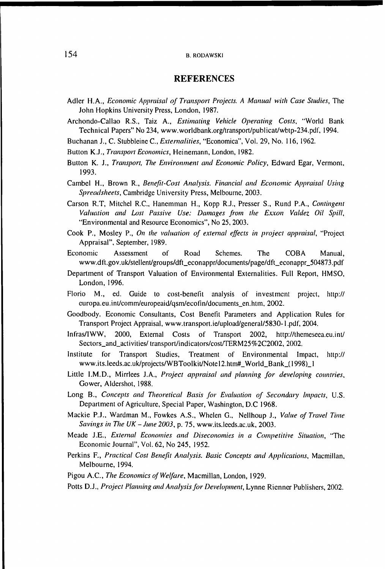#### **B. RODAWSKI**

#### **REFERENCES**

- Adler H.A., *Economic Appraisal of Transport Projects. A Manual with Case Studies*, The John Hopkins University Press, London, 1987.
- Archondo-Callao R.S., Taiz A., *Estimating Vehicle Operating Costs,* "World Bank Technical Papers" No 234, [www.worldbank.org/transport/publicat/wbtp-234.pdf](http://www.worldbank.org/transport/publicat/wbtp-234.pdf), 1994.
- Buchanan J., C. Stubbleinc C., *Externalities*, "Economica", Vol. 29, No. 116, 1962.
- Button K.J., *Transport Economics,* Heinemann, London, 1982.
- Button K. J., *Transport, The Environment and Economic Policy,* Edward Egar, Vermont, 1993.
- Cambel H., Brown R., *Benefit-Cost Analysis. Financial and Economic Appraisal Using Spreadsheets,* Cambridge University Press, Melbourne, 2003.
- Carson R.T, Mitchel R.C., Hanemman H., Kopp R.J., Presser S., Rund P.A., *Contingent Valuation and Lost Passive Use: Damages from the Exxon Valdez Oil Spill,* "Environmental and Resource Economics", No 25, 2003.
- Cook P., Mosley P., *On the valuation of external effects in project appraisal*, "Project Appraisal", September, 1989.
- Economic Assessment of Road Schemes. The COBA Manual, [www.dft.gov.uk/stellent/groups/dft\\_econappr/documents/page/dft\\_econappr\\_504873.pdf](http://www.dft.gov.uk/stellent/groups/dft_econappr/documents/page/dft_econappr_504873.pdf)
- Department of Transport Valuation of Environmental Externalities. Full Report, HMSO, London, 1996.
- Florio M., ed. Guide to cost-benefit analysis of investment project, http:// curopa.eu.int/comm/europeaid/qsm/ecofin/documents\_en.htm, 2002.
- Goodbody. Economic Consultants, Cost Benefit Parameters and Application Rules for Transport Project Appraisal, [www.transport.ie/upload/general/5830-l.pdf,](http://www.transport.ie/upload/general/5830-l.pdf) 2004.
- Infras/IWW, 2000, External Costs of Transport 2002, <http://themeseea.eu.int/> Sectors\_and\_activities/ transport/indicators/cost/TERM25%2C2002, 2002.
- Institute for Transport Studies, Treatment of Environmental Impact, http:// [www.its.leeds.ac.uk/projects/WBToolkit/Note](http://www.its.leeds.ac.uk/projects/WBToolkit/Note) 12.htm#\_World\_Bank\_( 1998)\_ 1
- Little I.M.D., Mirrlees J.A., Project appraisal and planning for developing countries, Gower, Aldershot, 1988.
- Long B., *Concepts and Theoretical Basis for Evaluation of Secondary Impacts*, U.S. Department of Agriculture, Special Paper, Washington, D.C 1968.
- Mackie P.J., Wardman M., Fowkes A.S., Whelen G., Nellhoup J., Value of Travel Time *Savings in The UK - June 2003,* p. 75, [www.its.leeds.ac.uk,](http://www.its.leeds.ac.uk) 2003.
- Meade J.E., *External Economies and Diseconomies in a Competitive Situation,* "The Economic Journal", Vol. 62, No 245, 1952.
- Perkins F., *Practical Cost Benefit Analysis. Basic Concepts and Applications*, Macmillan, Melbourne, 1994.
- Pigou A.C., *The Economics of Welfare,* Macmillan, London, 1929.
- Potts D.J., Project Planning and Analysis for Development, Lynne Rienner Publishers, 2002.